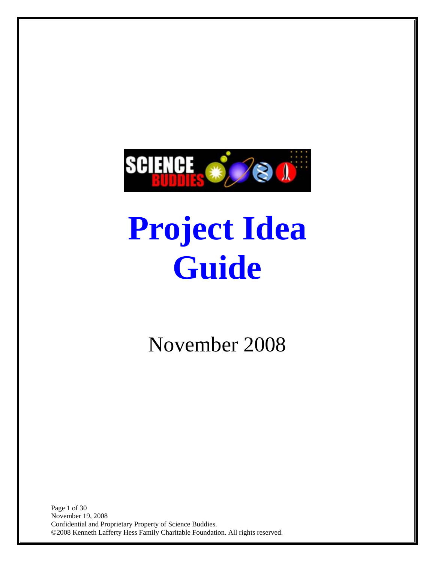<span id="page-0-0"></span>

# **Project Idea Guide**

November 2008

Page 1 of 30 November 19, 2008 Confidential and Proprietary Property of Science Buddies. ©2008 Kenneth Lafferty Hess Family Charitable Foundation. All rights reserved.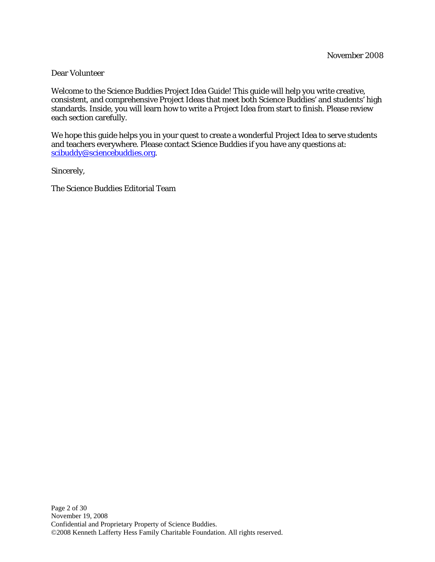#### Dear Volunteer

Welcome to the Science Buddies Project Idea Guide! This guide will help you write creative, consistent, and comprehensive Project Ideas that meet both Science Buddies' and students' high standards. Inside, you will learn how to write a Project Idea from start to finish. Please review each section carefully.

We hope this guide helps you in your quest to create a wonderful Project Idea to serve students and teachers everywhere. Please contact Science Buddies if you have any questions at: [scibuddy@sciencebuddies.org](mailto:scibuddy@sciencebuddies.org).

Sincerely,

The Science Buddies Editorial Team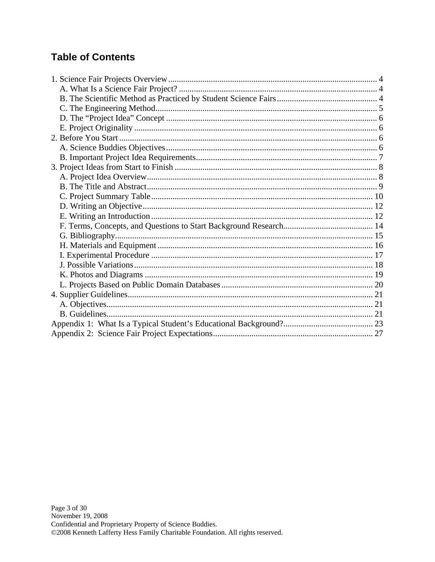## **Table of Contents**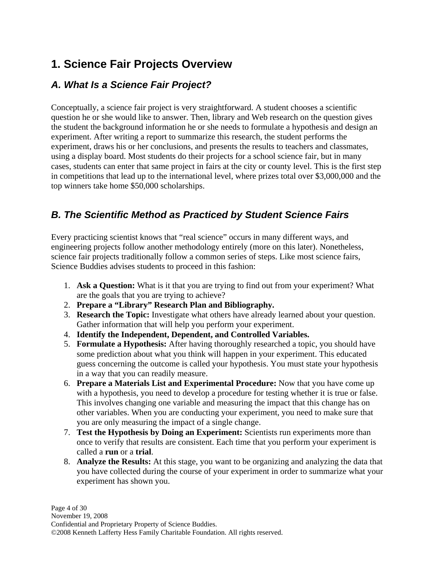# <span id="page-3-0"></span>**1. Science Fair Projects Overview**

## *A. What Is a Science Fair Project?*

Conceptually, a science fair project is very straightforward. A student chooses a scientific question he or she would like to answer. Then, library and Web research on the question gives the student the background information he or she needs to formulate a hypothesis and design an experiment. After writing a report to summarize this research, the student performs the experiment, draws his or her conclusions, and presents the results to teachers and classmates, using a display board. Most students do their projects for a school science fair, but in many cases, students can enter that same project in fairs at the city or county level. This is the first step in competitions that lead up to the international level, where prizes total over \$3,000,000 and the top winners take home \$50,000 scholarships.

## *B. The Scientific Method as Practiced by Student Science Fairs*

Every practicing scientist knows that "real science" occurs in many different ways, and engineering projects follow another methodology entirely (more on this later). Nonetheless, science fair projects traditionally follow a common series of steps. Like most science fairs, Science Buddies advises students to proceed in this fashion:

- 1. **Ask a Question:** What is it that you are trying to find out from your experiment? What are the goals that you are trying to achieve?
- 2. **Prepare a "Library" Research Plan and Bibliography.**
- 3. **Research the Topic:** Investigate what others have already learned about your question. Gather information that will help you perform your experiment.
- 4. **Identify the Independent, Dependent, and Controlled Variables.**
- 5. **Formulate a Hypothesis:** After having thoroughly researched a topic, you should have some prediction about what you think will happen in your experiment. This educated guess concerning the outcome is called your hypothesis. You must state your hypothesis in a way that you can readily measure.
- 6. **Prepare a Materials List and Experimental Procedure:** Now that you have come up with a hypothesis, you need to develop a procedure for testing whether it is true or false. This involves changing one variable and measuring the impact that this change has on other variables. When you are conducting your experiment, you need to make sure that you are only measuring the impact of a single change.
- 7. **Test the Hypothesis by Doing an Experiment:** Scientists run experiments more than once to verify that results are consistent. Each time that you perform your experiment is called a **run** or a **trial**.
- 8. **Analyze the Results:** At this stage, you want to be organizing and analyzing the data that you have collected during the course of your experiment in order to summarize what your experiment has shown you.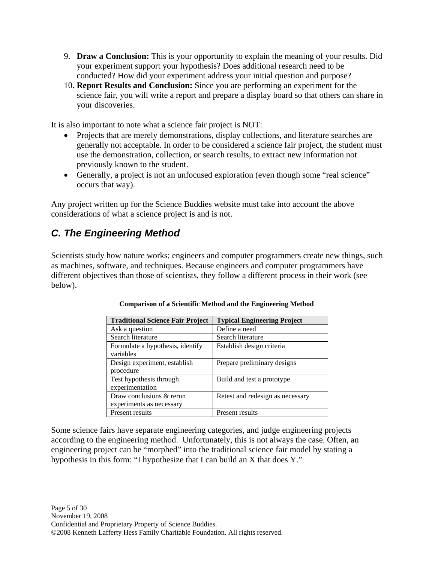- <span id="page-4-0"></span>9. **Draw a Conclusion:** This is your opportunity to explain the meaning of your results. Did your experiment support your hypothesis? Does additional research need to be conducted? How did your experiment address your initial question and purpose?
- 10. **Report Results and Conclusion:** Since you are performing an experiment for the science fair, you will write a report and prepare a display board so that others can share in your discoveries.

It is also important to note what a science fair project is NOT:

- Projects that are merely demonstrations, display collections, and literature searches are generally not acceptable. In order to be considered a science fair project, the student must use the demonstration, collection, or search results, to extract new information not previously known to the student.
- Generally, a project is not an unfocused exploration (even though some "real science" occurs that way).

Any project written up for the Science Buddies website must take into account the above considerations of what a science project is and is not.

## *C. The Engineering Method*

Scientists study how nature works; engineers and computer programmers create new things, such as machines, software, and techniques. Because engineers and computer programmers have different objectives than those of scientists, they follow a different process in their work (see below).

| <b>Traditional Science Fair Project</b> | <b>Typical Engineering Project</b> |
|-----------------------------------------|------------------------------------|
| Ask a question                          | Define a need                      |
| Search literature                       | Search literature                  |
| Formulate a hypothesis, identify        | Establish design criteria          |
| variables                               |                                    |
| Design experiment, establish            | Prepare preliminary designs        |
| procedure                               |                                    |
| Test hypothesis through                 | Build and test a prototype         |
| experimentation                         |                                    |
| Draw conclusions & rerun                | Retest and redesign as necessary   |
| experiments as necessary                |                                    |
| Present results                         | Present results                    |

#### **Comparison of a Scientific Method and the Engineering Method**

Some science fairs have separate engineering categories, and judge engineering projects according to the engineering method. Unfortunately, this is not always the case. Often, an engineering project can be "morphed" into the traditional science fair model by stating a hypothesis in this form: "I hypothesize that I can build an X that does Y."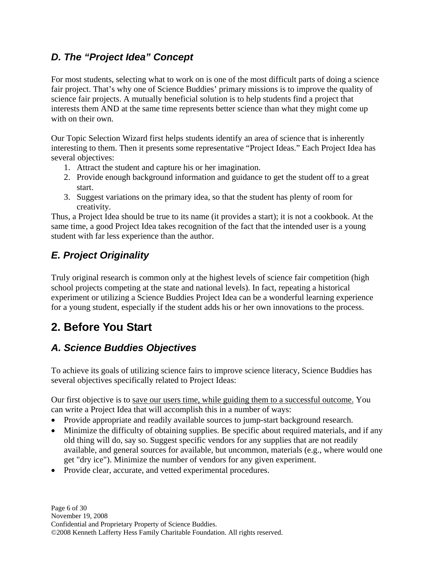## <span id="page-5-0"></span>*D. The "Project Idea" Concept*

For most students, selecting what to work on is one of the most difficult parts of doing a science fair project. That's why one of Science Buddies' primary missions is to improve the quality of science fair projects. A mutually beneficial solution is to help students find a project that interests them AND at the same time represents better science than what they might come up with on their own.

Our Topic Selection Wizard first helps students identify an area of science that is inherently interesting to them. Then it presents some representative "Project Ideas." Each Project Idea has several objectives:

- 1. Attract the student and capture his or her imagination.
- 2. Provide enough background information and guidance to get the student off to a great start.
- 3. Suggest variations on the primary idea, so that the student has plenty of room for creativity.

Thus, a Project Idea should be true to its name (it provides a start); it is not a cookbook. At the same time, a good Project Idea takes recognition of the fact that the intended user is a young student with far less experience than the author.

# *E. Project Originality*

Truly original research is common only at the highest levels of science fair competition (high school projects competing at the state and national levels). In fact, repeating a historical experiment or utilizing a Science Buddies Project Idea can be a wonderful learning experience for a young student, especially if the student adds his or her own innovations to the process.

# **2. Before You Start**

## *A. Science Buddies Objectives*

To achieve its goals of utilizing science fairs to improve science literacy, Science Buddies has several objectives specifically related to Project Ideas:

Our first objective is to save our users time, while guiding them to a successful outcome. You can write a Project Idea that will accomplish this in a number of ways:

- Provide appropriate and readily available sources to jump-start background research.
- Minimize the difficulty of obtaining supplies. Be specific about required materials, and if any old thing will do, say so. Suggest specific vendors for any supplies that are not readily available, and general sources for available, but uncommon, materials (e.g., where would one get "dry ice"). Minimize the number of vendors for any given experiment.
- Provide clear, accurate, and vetted experimental procedures.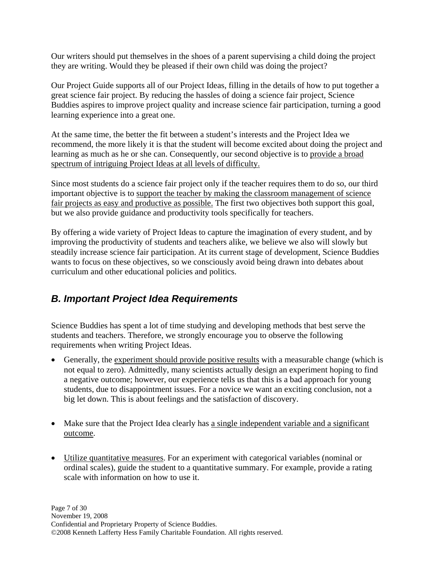<span id="page-6-0"></span>Our writers should put themselves in the shoes of a parent supervising a child doing the project they are writing. Would they be pleased if their own child was doing the project?

Our Project Guide supports all of our Project Ideas, filling in the details of how to put together a great science fair project. By reducing the hassles of doing a science fair project, Science Buddies aspires to improve project quality and increase science fair participation, turning a good learning experience into a great one.

At the same time, the better the fit between a student's interests and the Project Idea we recommend, the more likely it is that the student will become excited about doing the project and learning as much as he or she can. Consequently, our second objective is to provide a broad spectrum of intriguing Project Ideas at all levels of difficulty.

Since most students do a science fair project only if the teacher requires them to do so, our third important objective is to support the teacher by making the classroom management of science fair projects as easy and productive as possible. The first two objectives both support this goal, but we also provide guidance and productivity tools specifically for teachers.

By offering a wide variety of Project Ideas to capture the imagination of every student, and by improving the productivity of students and teachers alike, we believe we also will slowly but steadily increase science fair participation. At its current stage of development, Science Buddies wants to focus on these objectives, so we consciously avoid being drawn into debates about curriculum and other educational policies and politics.

## *B. Important Project Idea Requirements*

Science Buddies has spent a lot of time studying and developing methods that best serve the students and teachers. Therefore, we strongly encourage you to observe the following requirements when writing Project Ideas.

- Generally, the experiment should provide positive results with a measurable change (which is not equal to zero). Admittedly, many scientists actually design an experiment hoping to find a negative outcome; however, our experience tells us that this is a bad approach for young students, due to disappointment issues. For a novice we want an exciting conclusion, not a big let down. This is about feelings and the satisfaction of discovery.
- Make sure that the Project Idea clearly has a single independent variable and a significant outcome.
- Utilize quantitative measures. For an experiment with categorical variables (nominal or ordinal scales), guide the student to a quantitative summary. For example, provide a rating scale with information on how to use it.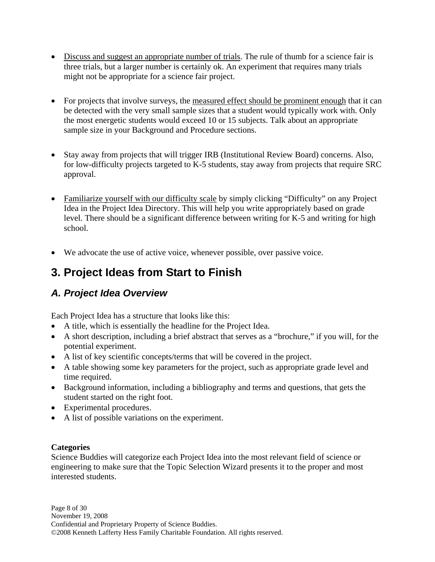- <span id="page-7-0"></span>• Discuss and suggest an appropriate number of trials. The rule of thumb for a science fair is three trials, but a larger number is certainly ok. An experiment that requires many trials might not be appropriate for a science fair project.
- For projects that involve surveys, the measured effect should be prominent enough that it can be detected with the very small sample sizes that a student would typically work with. Only the most energetic students would exceed 10 or 15 subjects. Talk about an appropriate sample size in your Background and Procedure sections.
- Stay away from projects that will trigger IRB (Institutional Review Board) concerns. Also, for low-difficulty projects targeted to K-5 students, stay away from projects that require SRC approval.
- Familiarize yourself with our difficulty scale by simply clicking "Difficulty" on any Project Idea in the Project Idea Directory. This will help you write appropriately based on grade level. There should be a significant difference between writing for K-5 and writing for high school.
- We advocate the use of active voice, whenever possible, over passive voice.

# **3. Project Ideas from Start to Finish**

## *A. Project Idea Overview*

Each Project Idea has a structure that looks like this:

- A title, which is essentially the headline for the Project Idea.
- A short description, including a brief abstract that serves as a "brochure," if you will, for the potential experiment.
- A list of key scientific concepts/terms that will be covered in the project.
- A table showing some key parameters for the project, such as appropriate grade level and time required.
- Background information, including a bibliography and terms and questions, that gets the student started on the right foot.
- Experimental procedures.
- A list of possible variations on the experiment.

#### **Categories**

Science Buddies will categorize each Project Idea into the most relevant field of science or engineering to make sure that the Topic Selection Wizard presents it to the proper and most interested students.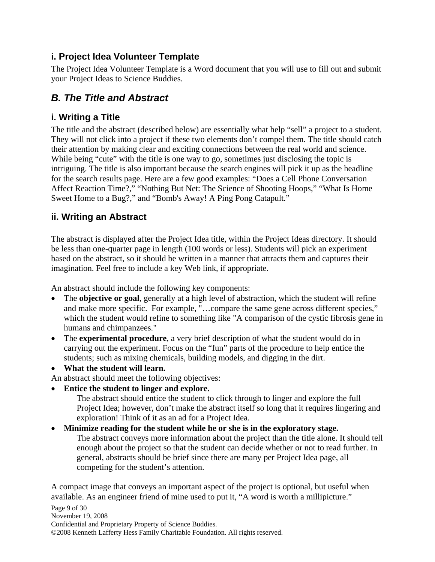### <span id="page-8-0"></span>**i. Project Idea Volunteer Template**

The Project Idea Volunteer Template is a Word document that you will use to fill out and submit your Project Ideas to Science Buddies.

## *B. The Title and Abstract*

## **i. Writing a Title**

The title and the abstract (described below) are essentially what help "sell" a project to a student. They will not click into a project if these two elements don't compel them. The title should catch their attention by making clear and exciting connections between the real world and science. While being "cute" with the title is one way to go, sometimes just disclosing the topic is intriguing. The title is also important because the search engines will pick it up as the headline for the search results page. Here are a few good examples: "Does a Cell Phone Conversation Affect Reaction Time?," "Nothing But Net: The Science of Shooting Hoops," "What Is Home Sweet Home to a Bug?," and "Bomb's Away! A Ping Pong Catapult."

## **ii. Writing an Abstract**

The abstract is displayed after the Project Idea title, within the Project Ideas directory. It should be less than one-quarter page in length (100 words or less). Students will pick an experiment based on the abstract, so it should be written in a manner that attracts them and captures their imagination. Feel free to include a key Web link, if appropriate.

An abstract should include the following key components:

- The **objective or goal**, generally at a high level of abstraction, which the student will refine and make more specific. For example, "…compare the same gene across different species," which the student would refine to something like "A comparison of the cystic fibrosis gene in humans and chimpanzees."
- The **experimental procedure**, a very brief description of what the student would do in carrying out the experiment. Focus on the "fun" parts of the procedure to help entice the students; such as mixing chemicals, building models, and digging in the dirt.
- **What the student will learn.**

An abstract should meet the following objectives:

• **Entice the student to linger and explore.**

The abstract should entice the student to click through to linger and explore the full Project Idea; however, don't make the abstract itself so long that it requires lingering and exploration! Think of it as an ad for a Project Idea.

#### • **Minimize reading for the student while he or she is in the exploratory stage.** The abstract conveys more information about the project than the title alone. It should tell enough about the project so that the student can decide whether or not to read further. In general, abstracts should be brief since there are many per Project Idea page, all competing for the student's attention.

A compact image that conveys an important aspect of the project is optional, but useful when available. As an engineer friend of mine used to put it, "A word is worth a millipicture."

Page 9 of 30 November 19, 2008 Confidential and Proprietary Property of Science Buddies. ©2008 Kenneth Lafferty Hess Family Charitable Foundation. All rights reserved.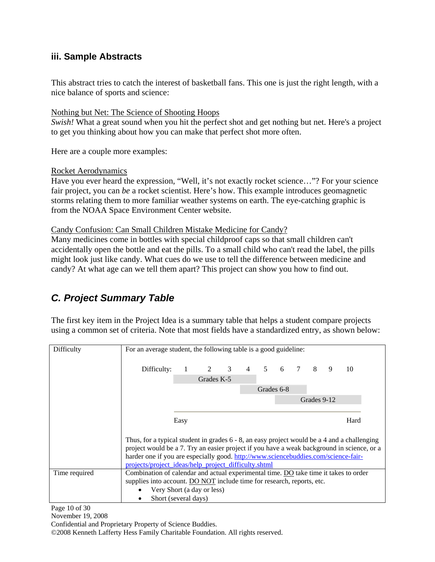#### <span id="page-9-0"></span>**iii. Sample Abstracts**

This abstract tries to catch the interest of basketball fans. This one is just the right length, with a nice balance of sports and science:

#### Nothing but Net: The Science of Shooting Hoops

*Swish!* What a great sound when you hit the perfect shot and get nothing but net. Here's a project to get you thinking about how you can make that perfect shot more often.

Here are a couple more examples:

#### Rocket Aerodynamics

Have you ever heard the expression, "Well, it's not exactly rocket science…"? For your science fair project, you can *be* a rocket scientist. Here's how. This example introduces geomagnetic storms relating them to more familiar weather systems on earth. The eye-catching graphic is from the NOAA Space Environment Center website.

Candy Confusion: Can Small Children Mistake Medicine for Candy?

Many medicines come in bottles with special childproof caps so that small children can't accidentally open the bottle and eat the pills. To a small child who can't read the label, the pills might look just like candy. What cues do we use to tell the difference between medicine and candy? At what age can we tell them apart? This project can show you how to find out.

## *C. Project Summary Table*

The first key item in the Project Idea is a summary table that helps a student compare projects using a common set of criteria. Note that most fields have a standardized entry, as shown below:

| Difficulty    |                                                                                             | For an average student, the following table is a good guideline: |                       |  |           |            |   |                |             |   |      |
|---------------|---------------------------------------------------------------------------------------------|------------------------------------------------------------------|-----------------------|--|-----------|------------|---|----------------|-------------|---|------|
|               |                                                                                             |                                                                  |                       |  |           |            |   |                |             |   |      |
|               |                                                                                             |                                                                  |                       |  | $4 \quad$ | 5          |   | $\overline{7}$ | 8           | 9 | 10   |
|               | Difficulty:                                                                                 |                                                                  | $1 \qquad 2 \qquad 3$ |  |           |            | 6 |                |             |   |      |
|               |                                                                                             |                                                                  | Grades K-5            |  |           |            |   |                |             |   |      |
|               |                                                                                             |                                                                  |                       |  |           | Grades 6-8 |   |                |             |   |      |
|               |                                                                                             |                                                                  |                       |  |           |            |   |                | Grades 9-12 |   |      |
|               |                                                                                             |                                                                  |                       |  |           |            |   |                |             |   |      |
|               |                                                                                             | Easy                                                             |                       |  |           |            |   |                |             |   | Hard |
|               |                                                                                             |                                                                  |                       |  |           |            |   |                |             |   |      |
|               | Thus, for a typical student in grades 6 - 8, an easy project would be a 4 and a challenging |                                                                  |                       |  |           |            |   |                |             |   |      |
|               | project would be a 7. Try an easier project if you have a weak background in science, or a  |                                                                  |                       |  |           |            |   |                |             |   |      |
|               | harder one if you are especially good. http://www.sciencebuddies.com/science-fair-          |                                                                  |                       |  |           |            |   |                |             |   |      |
|               | projects/project ideas/help project difficulty.shtml                                        |                                                                  |                       |  |           |            |   |                |             |   |      |
| Time required | Combination of calendar and actual experimental time. DO take time it takes to order        |                                                                  |                       |  |           |            |   |                |             |   |      |
|               | supplies into account. DO NOT include time for research, reports, etc.                      |                                                                  |                       |  |           |            |   |                |             |   |      |
|               | Very Short (a day or less)                                                                  |                                                                  |                       |  |           |            |   |                |             |   |      |
|               | Short (several days)                                                                        |                                                                  |                       |  |           |            |   |                |             |   |      |

Page 10 of 30

November 19, 2008

Confidential and Proprietary Property of Science Buddies.

©2008 Kenneth Lafferty Hess Family Charitable Foundation. All rights reserved.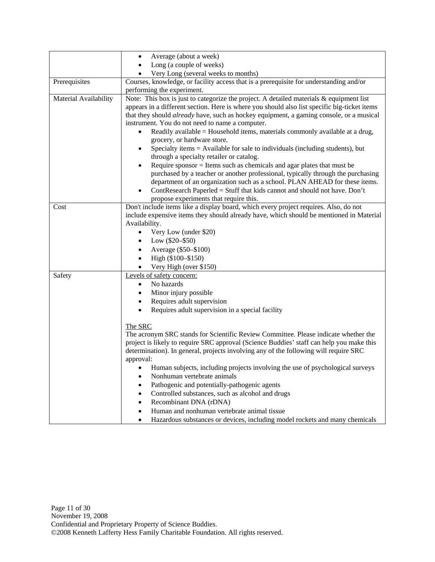|                       | Average (about a week)<br>$\bullet$                                                                                                                                                                                                                                                                                                                                                                                                                                                                                                                                                                                                                                                                                                                                                                                              |
|-----------------------|----------------------------------------------------------------------------------------------------------------------------------------------------------------------------------------------------------------------------------------------------------------------------------------------------------------------------------------------------------------------------------------------------------------------------------------------------------------------------------------------------------------------------------------------------------------------------------------------------------------------------------------------------------------------------------------------------------------------------------------------------------------------------------------------------------------------------------|
|                       | Long (a couple of weeks)                                                                                                                                                                                                                                                                                                                                                                                                                                                                                                                                                                                                                                                                                                                                                                                                         |
|                       | Very Long (several weeks to months)                                                                                                                                                                                                                                                                                                                                                                                                                                                                                                                                                                                                                                                                                                                                                                                              |
| Prerequisites         | Courses, knowledge, or facility access that is a prerequisite for understanding and/or                                                                                                                                                                                                                                                                                                                                                                                                                                                                                                                                                                                                                                                                                                                                           |
|                       | performing the experiment.                                                                                                                                                                                                                                                                                                                                                                                                                                                                                                                                                                                                                                                                                                                                                                                                       |
| Material Availability | Note: This box is just to categorize the project. A detailed materials & equipment list<br>appears in a different section. Here is where you should also list specific big-ticket items<br>that they should already have, such as hockey equipment, a gaming console, or a musical<br>instrument. You do not need to name a computer.<br>Readily available = Household items, materials commonly available at a drug,<br>grocery, or hardware store.<br>Specialty items = Available for sale to individuals (including students), but<br>through a specialty retailer or catalog.<br>Require sponsor $=$ Items such as chemicals and agar plates that must be<br>purchased by a teacher or another professional, typically through the purchasing<br>department of an organization such as a school. PLAN AHEAD for these items. |
|                       | ContResearch Paperled = Stuff that kids cannot and should not have. Don't<br>propose experiments that require this.                                                                                                                                                                                                                                                                                                                                                                                                                                                                                                                                                                                                                                                                                                              |
| Cost                  | Don't include items like a display board, which every project requires. Also, do not<br>include expensive items they should already have, which should be mentioned in Material<br>Availability.<br>Very Low (under \$20)<br>$\bullet$<br>Low $(\$20 - \$50)$<br>$\bullet$<br>Average (\$50-\$100)<br>$\bullet$<br>High (\$100-\$150)<br>$\bullet$<br>Very High (over \$150)<br>$\bullet$                                                                                                                                                                                                                                                                                                                                                                                                                                        |
| Safety                | Levels of safety concern:<br>No hazards<br>$\bullet$<br>Minor injury possible<br>$\bullet$<br>Requires adult supervision<br>$\bullet$<br>Requires adult supervision in a special facility<br>$\bullet$                                                                                                                                                                                                                                                                                                                                                                                                                                                                                                                                                                                                                           |
|                       | The SRC<br>The acronym SRC stands for Scientific Review Committee. Please indicate whether the<br>project is likely to require SRC approval (Science Buddies' staff can help you make this<br>determination). In general, projects involving any of the following will require SRC<br>approval:<br>Human subjects, including projects involving the use of psychological surveys<br>Nonhuman vertebrate animals<br>Pathogenic and potentially-pathogenic agents<br>Controlled substances, such as alcohol and drugs<br>Recombinant DNA (rDNA)<br>$\bullet$<br>Human and nonhuman vertebrate animal tissue<br>$\bullet$<br>Hazardous substances or devices, including model rockets and many chemicals<br>٠                                                                                                                       |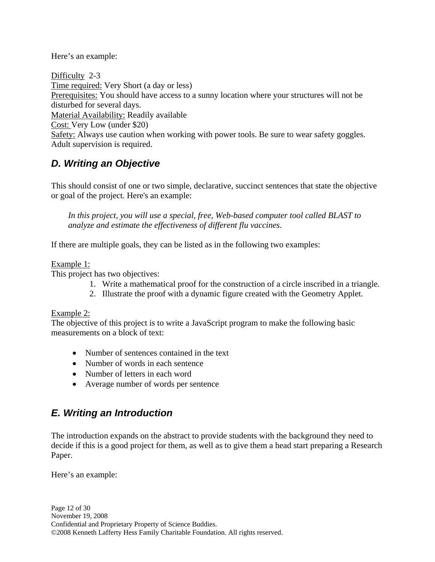#### <span id="page-11-0"></span>Here's an example:

Difficulty 2-3 Time required: Very Short (a day or less) Prerequisites: You should have access to a sunny location where your structures will not be disturbed for several days. Material Availability: Readily available Cost: Very Low (under \$20) Safety: Always use caution when working with power tools. Be sure to wear safety goggles. Adult supervision is required.

## *D. Writing an Objective*

This should consist of one or two simple, declarative, succinct sentences that state the objective or goal of the project. Here's an example:

*In this project, you will use a special, free, Web-based computer tool called BLAST to analyze and estimate the effectiveness of different flu vaccines.* 

If there are multiple goals, they can be listed as in the following two examples:

#### Example 1:

This project has two objectives:

- 1. Write a mathematical proof for the construction of a circle inscribed in a triangle.
- 2. Illustrate the proof with a dynamic figure created with the Geometry Applet.

#### Example 2:

The objective of this project is to write a JavaScript program to make the following basic measurements on a block of text:

- Number of sentences contained in the text
- Number of words in each sentence
- Number of letters in each word
- Average number of words per sentence

## *E. Writing an Introduction*

The introduction expands on the abstract to provide students with the background they need to decide if this is a good project for them, as well as to give them a head start preparing a Research Paper.

Here's an example: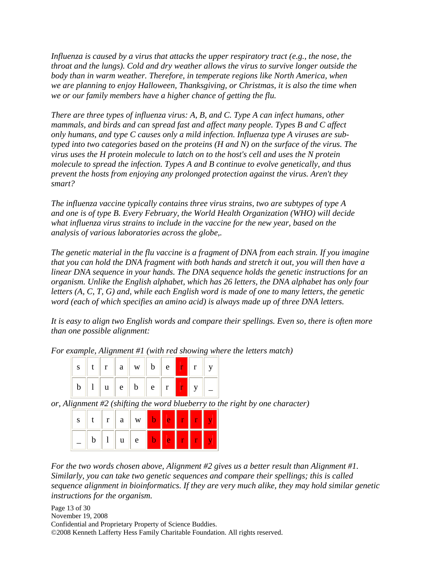*Influenza is caused by a virus that attacks the upper respiratory tract (e.g., the nose, the throat and the lungs). Cold and dry weather allows the virus to survive longer outside the body than in warm weather. Therefore, in temperate regions like North America, when we are planning to enjoy Halloween, Thanksgiving, or Christmas, it is also the time when we or our family members have a higher chance of getting the flu.* 

*There are three types of influenza virus: A, B, and C. Type A can infect humans, other mammals, and birds and can spread fast and affect many people. Types B and C affect only humans, and type C causes only a mild infection. Influenza type A viruses are subtyped into two categories based on the proteins (H and N) on the surface of the virus. The virus uses the H protein molecule to latch on to the host's cell and uses the N protein molecule to spread the infection. Types A and B continue to evolve genetically, and thus prevent the hosts from enjoying any prolonged protection against the virus. Aren't they smart?* 

*The influenza vaccine typically contains three virus strains, two are subtypes of type A and one is of type B. Every February, the World Health Organization (WHO) will decide what influenza virus strains to include in the vaccine for the new year, based on the analysis of various laboratories across the globe,.* 

*The genetic material in the flu vaccine is a fragment of DNA from each strain. If you imagine that you can hold the DNA fragment with both hands and stretch it out, you will then have a linear DNA sequence in your hands. The DNA sequence holds the genetic instructions for an organism. Unlike the English alphabet, which has 26 letters, the DNA alphabet has only four letters (A, C, T, G) and, while each English word is made of one to many letters, the genetic word (each of which specifies an amino acid) is always made up of three DNA letters.* 

*It is easy to align two English words and compare their spellings. Even so, there is often more than one possible alignment:* 

*For example, Alignment #1 (with red showing where the letters match)* 

|  |  | $\mathbf{s} \parallel \mathbf{t} \parallel \mathbf{r} \parallel \mathbf{a} \parallel \mathbf{w} \parallel \mathbf{b} \parallel \mathbf{e} \parallel \mathbf{r} \parallel \mathbf{r}$ |  |  |  |
|--|--|--------------------------------------------------------------------------------------------------------------------------------------------------------------------------------------|--|--|--|
|  |  | $\mathbf{b} \parallel 1 \parallel \mathbf{u} \parallel \mathbf{e} \parallel \mathbf{b} \parallel \mathbf{e} \parallel \mathbf{r} \parallel$                                          |  |  |  |

*or, Alignment #2 (shifting the word blueberry to the right by one character)* 

|  | $\bullet$ | a | W |  |  |  |
|--|-----------|---|---|--|--|--|
|  |           |   | e |  |  |  |

*For the two words chosen above, Alignment #2 gives us a better result than Alignment #1. Similarly, you can take two genetic sequences and compare their spellings; this is called sequence alignment in bioinformatics. If they are very much alike, they may hold similar genetic instructions for the organism.* 

Page 13 of 30 November 19, 2008 Confidential and Proprietary Property of Science Buddies. ©2008 Kenneth Lafferty Hess Family Charitable Foundation. All rights reserved.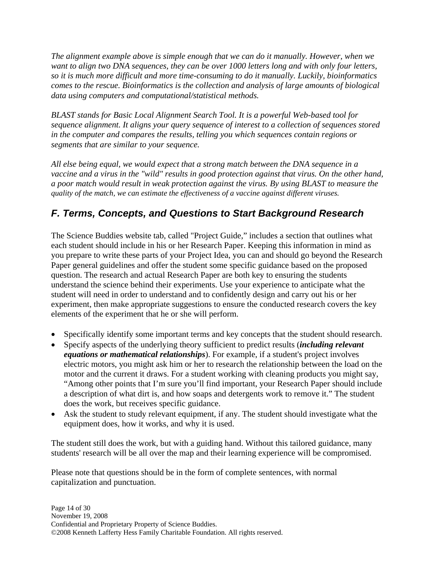<span id="page-13-0"></span>*The alignment example above is simple enough that we can do it manually. However, when we want to align two DNA sequences, they can be over 1000 letters long and with only four letters, so it is much more difficult and more time-consuming to do it manually. Luckily, bioinformatics comes to the rescue. Bioinformatics is the collection and analysis of large amounts of biological data using computers and computational/statistical methods.* 

*BLAST stands for Basic Local Alignment Search Tool. It is a powerful Web-based tool for sequence alignment. It aligns your query sequence of interest to a collection of sequences stored in the computer and compares the results, telling you which sequences contain regions or segments that are similar to your sequence.* 

*All else being equal, we would expect that a strong match between the DNA sequence in a vaccine and a virus in the "wild" results in good protection against that virus. On the other hand, a poor match would result in weak protection against the virus. By using BLAST to measure the quality of the match, we can estimate the effectiveness of a vaccine against different viruses.* 

## *F. Terms, Concepts, and Questions to Start Background Research*

The Science Buddies website tab, called "Project Guide," includes a section that outlines what each student should include in his or her Research Paper. Keeping this information in mind as you prepare to write these parts of your Project Idea, you can and should go beyond the Research Paper general guidelines and offer the student some specific guidance based on the proposed question. The research and actual Research Paper are both key to ensuring the students understand the science behind their experiments. Use your experience to anticipate what the student will need in order to understand and to confidently design and carry out his or her experiment, then make appropriate suggestions to ensure the conducted research covers the key elements of the experiment that he or she will perform.

- Specifically identify some important terms and key concepts that the student should research.
- Specify aspects of the underlying theory sufficient to predict results (*including relevant equations or mathematical relationships*). For example, if a student's project involves electric motors, you might ask him or her to research the relationship between the load on the motor and the current it draws. For a student working with cleaning products you might say, "Among other points that I'm sure you'll find important, your Research Paper should include a description of what dirt is, and how soaps and detergents work to remove it." The student does the work, but receives specific guidance.
- Ask the student to study relevant equipment, if any. The student should investigate what the equipment does, how it works, and why it is used.

The student still does the work, but with a guiding hand. Without this tailored guidance, many students' research will be all over the map and their learning experience will be compromised.

Please note that questions should be in the form of complete sentences, with normal capitalization and punctuation.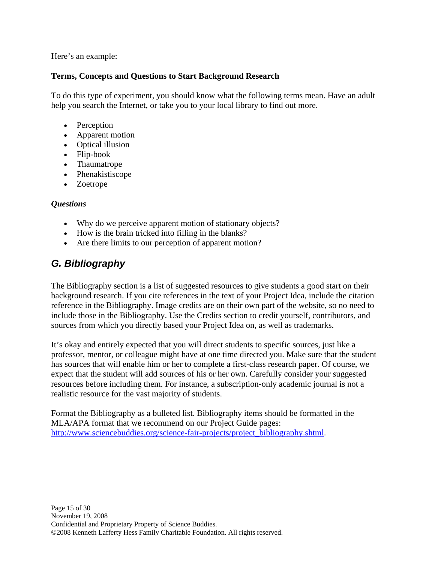<span id="page-14-0"></span>Here's an example:

#### **Terms, Concepts and Questions to Start Background Research**

To do this type of experiment, you should know what the following terms mean. Have an adult help you search the Internet, or take you to your local library to find out more.

- Perception
- Apparent motion
- Optical illusion
- Flip-book
- Thaumatrope
- Phenakistiscope
- Zoetrope

#### *Questions*

- Why do we perceive apparent motion of stationary objects?
- How is the brain tricked into filling in the blanks?
- Are there limits to our perception of apparent motion?

## *G. Bibliography*

The Bibliography section is a list of suggested resources to give students a good start on their background research. If you cite references in the text of your Project Idea, include the citation reference in the Bibliography. Image credits are on their own part of the website, so no need to include those in the Bibliography. Use the Credits section to credit yourself, contributors, and sources from which you directly based your Project Idea on, as well as trademarks.

It's okay and entirely expected that you will direct students to specific sources, just like a professor, mentor, or colleague might have at one time directed you. Make sure that the student has sources that will enable him or her to complete a first-class research paper. Of course, we expect that the student will add sources of his or her own. Carefully consider your suggested resources before including them. For instance, a subscription-only academic journal is not a realistic resource for the vast majority of students.

Format the Bibliography as a bulleted list. Bibliography items should be formatted in the MLA/APA format that we recommend on our Project Guide pages: [http://www.sciencebuddies.org/science-fair-projects/project\\_bibliography.shtml](http://www.sciencebuddies.org/science-fair-projects/project_bibliography.shtml).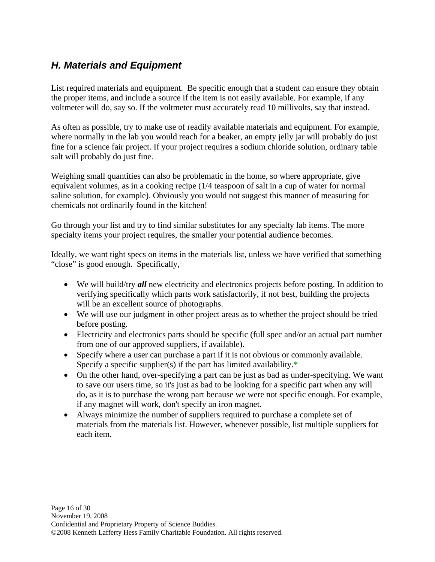## <span id="page-15-0"></span>*H. Materials and Equipment*

List required materials and equipment. Be specific enough that a student can ensure they obtain the proper items, and include a source if the item is not easily available. For example, if any voltmeter will do, say so. If the voltmeter must accurately read 10 millivolts, say that instead.

As often as possible, try to make use of readily available materials and equipment. For example, where normally in the lab you would reach for a beaker, an empty jelly jar will probably do just fine for a science fair project. If your project requires a sodium chloride solution, ordinary table salt will probably do just fine.

Weighing small quantities can also be problematic in the home, so where appropriate, give equivalent volumes, as in a cooking recipe (1/4 teaspoon of salt in a cup of water for normal saline solution, for example). Obviously you would not suggest this manner of measuring for chemicals not ordinarily found in the kitchen!

Go through your list and try to find similar substitutes for any specialty lab items. The more specialty items your project requires, the smaller your potential audience becomes.

Ideally, we want tight specs on items in the materials list, unless we have verified that something "close" is good enough. Specifically,

- We will build/try *all* new electricity and electronics projects before posting. In addition to verifying specifically which parts work satisfactorily, if not best, building the projects will be an excellent source of photographs.
- We will use our judgment in other project areas as to whether the project should be tried before posting.
- Electricity and electronics parts should be specific (full spec and/or an actual part number from one of our approved suppliers, if available).
- Specify where a user can purchase a part if it is not obvious or commonly available. Specify a specific supplier(s) if the part has limited availability.\*
- On the other hand, over-specifying a part can be just as bad as under-specifying. We want to save our users time, so it's just as bad to be looking for a specific part when any will do, as it is to purchase the wrong part because we were not specific enough. For example, if any magnet will work, don't specify an iron magnet.
- Always minimize the number of suppliers required to purchase a complete set of materials from the materials list. However, whenever possible, list multiple suppliers for each item.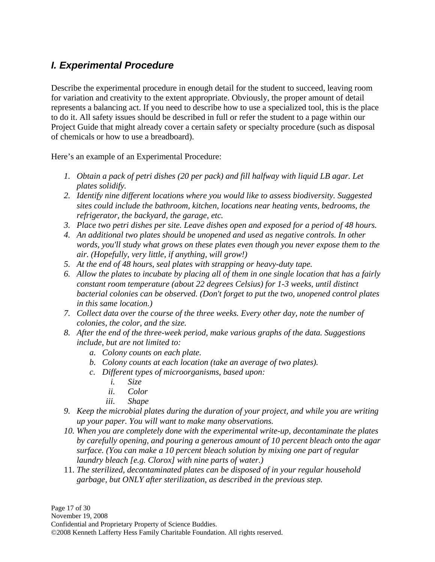## <span id="page-16-0"></span>*I. Experimental Procedure*

Describe the experimental procedure in enough detail for the student to succeed, leaving room for variation and creativity to the extent appropriate. Obviously, the proper amount of detail represents a balancing act. If you need to describe how to use a specialized tool, this is the place to do it. All safety issues should be described in full or refer the student to a page within our Project Guide that might already cover a certain safety or specialty procedure (such as disposal of chemicals or how to use a breadboard).

Here's an example of an Experimental Procedure:

- *1. Obtain a pack of petri dishes (20 per pack) and fill halfway with liquid LB agar. Let plates solidify.*
- *2. Identify nine different locations where you would like to assess biodiversity. Suggested sites could include the bathroom, kitchen, locations near heating vents, bedrooms, the refrigerator, the backyard, the garage, etc.*
- *3. Place two petri dishes per site. Leave dishes open and exposed for a period of 48 hours.*
- *4. An additional two plates should be unopened and used as negative controls. In other words, you'll study what grows on these plates even though you never expose them to the air. (Hopefully, very little, if anything, will grow!)*
- *5. At the end of 48 hours, seal plates with strapping or heavy-duty tape.*
- *6. Allow the plates to incubate by placing all of them in one single location that has a fairly constant room temperature (about 22 degrees Celsius) for 1-3 weeks, until distinct bacterial colonies can be observed. (Don't forget to put the two, unopened control plates in this same location.)*
- *7. Collect data over the course of the three weeks. Every other day, note the number of colonies, the color, and the size.*
- *8. After the end of the three-week period, make various graphs of the data. Suggestions include, but are not limited to:* 
	- *a. Colony counts on each plate.*
	- *b. Colony counts at each location (take an average of two plates).*
	- *c. Different types of microorganisms, based upon:* 
		- *i. Size*
		- *ii. Color*
		- *iii. Shape*
- *9. Keep the microbial plates during the duration of your project, and while you are writing up your paper. You will want to make many observations.*
- *10. When you are completely done with the experimental write-up, decontaminate the plates by carefully opening, and pouring a generous amount of 10 percent bleach onto the agar surface. (You can make a 10 percent bleach solution by mixing one part of regular laundry bleach [e.g. Clorox] with nine parts of water.)*
- 11. *The sterilized, decontaminated plates can be disposed of in your regular household garbage, but ONLY after sterilization, as described in the previous step.*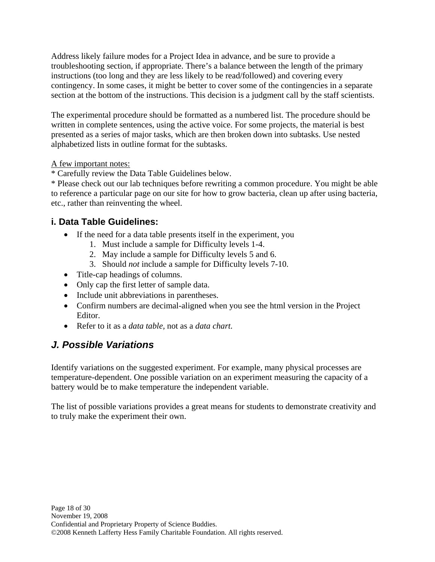<span id="page-17-0"></span>Address likely failure modes for a Project Idea in advance, and be sure to provide a troubleshooting section, if appropriate. There's a balance between the length of the primary instructions (too long and they are less likely to be read/followed) and covering every contingency. In some cases, it might be better to cover some of the contingencies in a separate section at the bottom of the instructions. This decision is a judgment call by the staff scientists.

The experimental procedure should be formatted as a numbered list. The procedure should be written in complete sentences, using the active voice. For some projects, the material is best presented as a series of major tasks, which are then broken down into subtasks. Use nested alphabetized lists in outline format for the subtasks.

#### A few important notes:

\* Carefully review the Data Table Guidelines below.

\* Please check out our lab techniques before rewriting a common procedure. You might be able to reference a particular page on our site for how to grow bacteria, clean up after using bacteria, etc., rather than reinventing the wheel.

## **i. Data Table Guidelines:**

- If the need for a data table presents itself in the experiment, you
	- 1. Must include a sample for Difficulty levels 1-4.
	- 2. May include a sample for Difficulty levels 5 and 6.
	- 3. Should *not* include a sample for Difficulty levels 7-10.
- Title-cap headings of columns.
- Only cap the first letter of sample data.
- Include unit abbreviations in parentheses.
- Confirm numbers are decimal-aligned when you see the html version in the Project Editor.
- Refer to it as a *data table,* not as a *data chart.*

## *J. Possible Variations*

Identify variations on the suggested experiment. For example, many physical processes are temperature-dependent. One possible variation on an experiment measuring the capacity of a battery would be to make temperature the independent variable.

The list of possible variations provides a great means for students to demonstrate creativity and to truly make the experiment their own.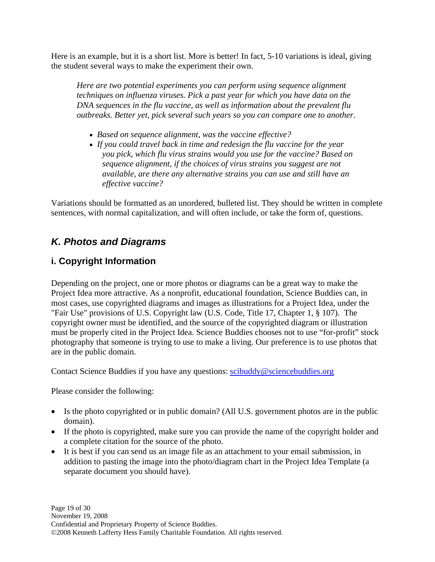<span id="page-18-0"></span>Here is an example, but it is a short list. More is better! In fact, 5-10 variations is ideal, giving the student several ways to make the experiment their own.

*Here are two potential experiments you can perform using sequence alignment techniques on influenza viruses. Pick a past year for which you have data on the DNA sequences in the flu vaccine, as well as information about the prevalent flu outbreaks. Better yet, pick several such years so you can compare one to another.* 

- *Based on sequence alignment, was the vaccine effective?*
- *If you could travel back in time and redesign the flu vaccine for the year you pick, which flu virus strains would you use for the vaccine? Based on sequence alignment, if the choices of virus strains you suggest are not available, are there any alternative strains you can use and still have an effective vaccine?*

Variations should be formatted as an unordered, bulleted list. They should be written in complete sentences, with normal capitalization, and will often include, or take the form of, questions.

## *K. Photos and Diagrams*

## **i. Copyright Information**

Depending on the project, one or more photos or diagrams can be a great way to make the Project Idea more attractive. As a nonprofit, educational foundation, Science Buddies can, in most cases, use copyrighted diagrams and images as illustrations for a Project Idea, under the "Fair Use" provisions of U.S. Copyright law (U.S. Code, Title 17, Chapter 1, § 107). The copyright owner must be identified, and the source of the copyrighted diagram or illustration must be properly cited in the Project Idea. Science Buddies chooses not to use "for-profit" stock photography that someone is trying to use to make a living. Our preference is to use photos that are in the public domain.

Contact Science Buddies if you have any questions: [scibuddy@sciencebuddies.org](#page-0-0)

Please consider the following:

- Is the photo copyrighted or in public domain? (All U.S. government photos are in the public domain).
- If the photo is copyrighted, make sure you can provide the name of the copyright holder and a complete citation for the source of the photo.
- It is best if you can send us an image file as an attachment to your email submission, in addition to pasting the image into the photo/diagram chart in the Project Idea Template (a separate document you should have).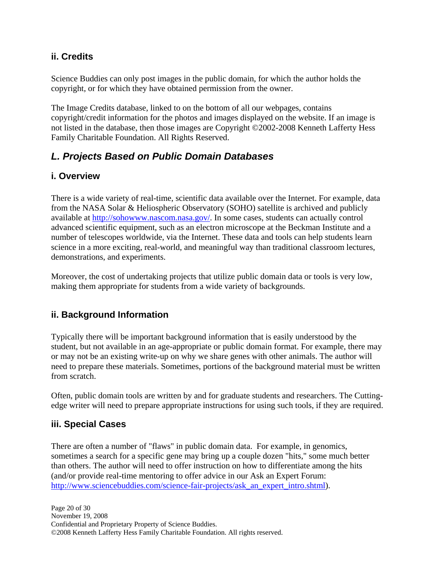#### <span id="page-19-0"></span>**ii. Credits**

Science Buddies can only post images in the public domain, for which the author holds the copyright, or for which they have obtained permission from the owner.

The Image Credits database, linked to on the bottom of all our webpages, contains copyright/credit information for the photos and images displayed on the website. If an image is not listed in the database, then those images are Copyright ©2002-2008 Kenneth Lafferty Hess Family Charitable Foundation. All Rights Reserved.

## *L. Projects Based on Public Domain Databases*

#### **i. Overview**

There is a wide variety of real-time, scientific data available over the Internet. For example, data from the NASA Solar & Heliospheric Observatory (SOHO) satellite is archived and publicly available at [http://sohowww.nascom.nasa.gov/.](http://sohowww.nascom.nasa.gov/) In some cases, students can actually control advanced scientific equipment, such as an electron microscope at the Beckman Institute and a number of telescopes worldwide, via the Internet. These data and tools can help students learn science in a more exciting, real-world, and meaningful way than traditional classroom lectures, demonstrations, and experiments.

Moreover, the cost of undertaking projects that utilize public domain data or tools is very low, making them appropriate for students from a wide variety of backgrounds.

#### **ii. Background Information**

Typically there will be important background information that is easily understood by the student, but not available in an age-appropriate or public domain format. For example, there may or may not be an existing write-up on why we share genes with other animals. The author will need to prepare these materials. Sometimes, portions of the background material must be written from scratch.

Often, public domain tools are written by and for graduate students and researchers. The Cuttingedge writer will need to prepare appropriate instructions for using such tools, if they are required.

#### **iii. Special Cases**

There are often a number of "flaws" in public domain data. For example, in genomics, sometimes a search for a specific gene may bring up a couple dozen "hits," some much better than others. The author will need to offer instruction on how to differentiate among the hits (and/or provide real-time mentoring to offer advice in our Ask an Expert Forum: [http://www.sciencebuddies.com/science-fair-projects/ask\\_an\\_expert\\_intro.shtml](http://www.sciencebuddies.com/science-fair-projects/ask_an_expert_intro.shtml)).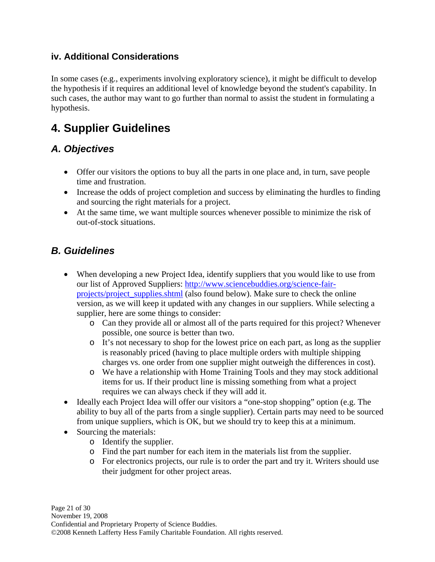## <span id="page-20-0"></span>**iv. Additional Considerations**

In some cases (e.g., experiments involving exploratory science), it might be difficult to develop the hypothesis if it requires an additional level of knowledge beyond the student's capability. In such cases, the author may want to go further than normal to assist the student in formulating a hypothesis.

# **4. Supplier Guidelines**

## *A. Objectives*

- Offer our visitors the options to buy all the parts in one place and, in turn, save people time and frustration.
- Increase the odds of project completion and success by eliminating the hurdles to finding and sourcing the right materials for a project.
- At the same time, we want multiple sources whenever possible to minimize the risk of out-of-stock situations.

## *B. Guidelines*

- When developing a new Project Idea, identify suppliers that you would like to use from our list of Approved Suppliers: [http://www.sciencebuddies.org/science-fair](http://www.sciencebuddies.org/science-fair-projects/project_supplies.shtml)[projects/project\\_supplies.shtml](http://www.sciencebuddies.org/science-fair-projects/project_supplies.shtml) (also found below). Make sure to check the online version, as we will keep it updated with any changes in our suppliers. While selecting a supplier, here are some things to consider:
	- o Can they provide all or almost all of the parts required for this project? Whenever possible, one source is better than two.
	- o It's not necessary to shop for the lowest price on each part, as long as the supplier is reasonably priced (having to place multiple orders with multiple shipping charges vs. one order from one supplier might outweigh the differences in cost).
	- o We have a relationship with Home Training Tools and they may stock additional items for us. If their product line is missing something from what a project requires we can always check if they will add it.
- Ideally each Project Idea will offer our visitors a "one-stop shopping" option (e.g. The ability to buy all of the parts from a single supplier). Certain parts may need to be sourced from unique suppliers, which is OK, but we should try to keep this at a minimum.
- Sourcing the materials:
	- o Identify the supplier.
	- o Find the part number for each item in the materials list from the supplier.
	- o For electronics projects, our rule is to order the part and try it. Writers should use their judgment for other project areas.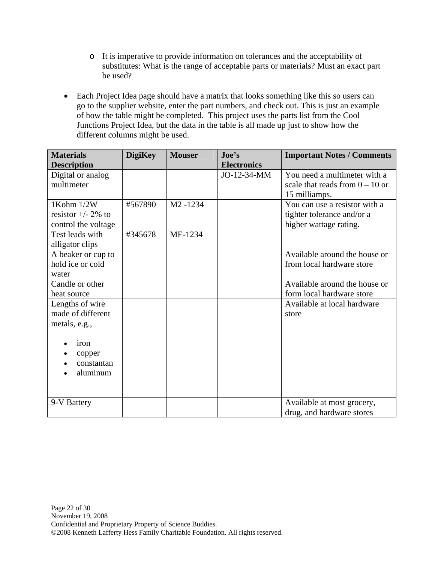- o It is imperative to provide information on tolerances and the acceptability of substitutes: What is the range of acceptable parts or materials? Must an exact part be used?
- Each Project Idea page should have a matrix that looks something like this so users can go to the supplier website, enter the part numbers, and check out. This is just an example of how the table might be completed. This project uses the parts list from the Cool Junctions Project Idea, but the data in the table is all made up just to show how the different columns might be used.

| <b>Materials</b>      | <b>DigiKey</b> | <b>Mouser</b>        | $\mathbf{Joe's}$   | <b>Important Notes / Comments</b> |
|-----------------------|----------------|----------------------|--------------------|-----------------------------------|
| <b>Description</b>    |                |                      | <b>Electronics</b> |                                   |
| Digital or analog     |                |                      | JO-12-34-MM        | You need a multimeter with a      |
| multimeter            |                |                      |                    | scale that reads from $0 - 10$ or |
|                       |                |                      |                    | 15 milliamps.                     |
| 1Kohm $1/2W$          | #567890        | M <sub>2</sub> -1234 |                    | You can use a resistor with a     |
| resistor $+/- 2\%$ to |                |                      |                    | tighter tolerance and/or a        |
| control the voltage   |                |                      |                    | higher wattage rating.            |
| Test leads with       | #345678        | ME-1234              |                    |                                   |
| alligator clips       |                |                      |                    |                                   |
| A beaker or cup to    |                |                      |                    | Available around the house or     |
| hold ice or cold      |                |                      |                    | from local hardware store         |
| water                 |                |                      |                    |                                   |
| Candle or other       |                |                      |                    | Available around the house or     |
| heat source           |                |                      |                    | form local hardware store         |
| Lengths of wire       |                |                      |                    | Available at local hardware       |
| made of different     |                |                      |                    | store                             |
| metals, e.g.,         |                |                      |                    |                                   |
|                       |                |                      |                    |                                   |
| iron                  |                |                      |                    |                                   |
| copper                |                |                      |                    |                                   |
| constantan            |                |                      |                    |                                   |
| aluminum              |                |                      |                    |                                   |
|                       |                |                      |                    |                                   |
| 9-V Battery           |                |                      |                    | Available at most grocery,        |
|                       |                |                      |                    | drug, and hardware stores         |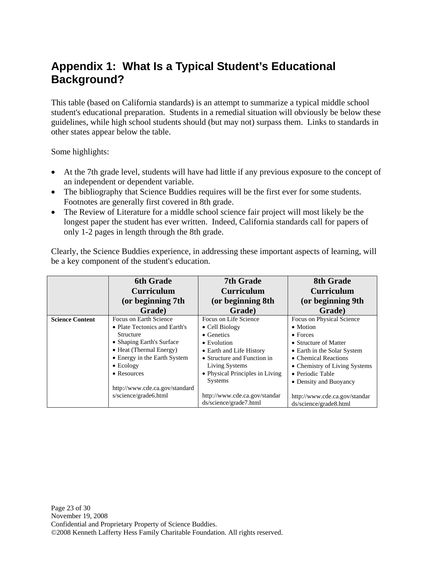# <span id="page-22-0"></span>**Appendix 1: What Is a Typical Student's Educational Background?**

This table (based on California standards) is an attempt to summarize a typical middle school student's educational preparation. Students in a remedial situation will obviously be below these guidelines, while high school students should (but may not) surpass them. Links to standards in other states appear below the table.

Some highlights:

- At the 7th grade level, students will have had little if any previous exposure to the concept of an independent or dependent variable.
- The bibliography that Science Buddies requires will be the first ever for some students. Footnotes are generally first covered in 8th grade.
- The Review of Literature for a middle school science fair project will most likely be the longest paper the student has ever written. Indeed, California standards call for papers of only 1-2 pages in length through the 8th grade.

Clearly, the Science Buddies experience, in addressing these important aspects of learning, will be a key component of the student's education.

|                        | <b>6th Grade</b>               | <b>7th Grade</b>                | <b>8th Grade</b>              |
|------------------------|--------------------------------|---------------------------------|-------------------------------|
|                        | <b>Curriculum</b>              | <b>Curriculum</b>               | <b>Curriculum</b>             |
|                        | (or beginning 7th              | (or beginning 8th               | (or beginning 9th             |
|                        | Grade)                         | Grade)                          | Grade)                        |
| <b>Science Content</b> | Focus on Earth Science         | Focus on Life Science           | Focus on Physical Science     |
|                        | • Plate Tectonics and Earth's  | $\bullet$ Cell Biology          | • Motion                      |
|                        | Structure                      | $\bullet$ Genetics              | $\bullet$ Forces              |
|                        | • Shaping Earth's Surface      | $\bullet$ Evolution             | • Structure of Matter         |
|                        | • Heat (Thermal Energy)        | • Earth and Life History        | • Earth in the Solar System   |
|                        | • Energy in the Earth System   | • Structure and Function in     | • Chemical Reactions          |
|                        | $\bullet$ Ecology              | Living Systems                  | • Chemistry of Living Systems |
|                        | $\bullet$ Resources            | • Physical Principles in Living | • Periodic Table              |
|                        |                                | <b>Systems</b>                  | • Density and Buoyancy        |
|                        | http://www.cde.ca.gov/standard |                                 |                               |
|                        | s/science/grade6.html          | http://www.cde.ca.gov/standar   | http://www.cde.ca.gov/standar |
|                        |                                | ds/science/grade7.html          | ds/science/grade8.html        |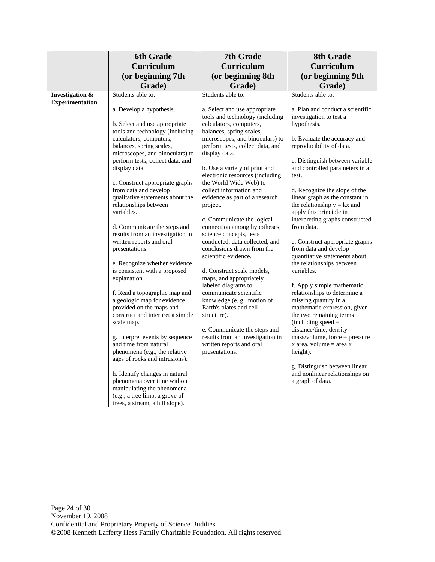|                                | <b>6th Grade</b>                                                 | <b>7th Grade</b>                                                    | 8th Grade                                                        |
|--------------------------------|------------------------------------------------------------------|---------------------------------------------------------------------|------------------------------------------------------------------|
|                                | <b>Curriculum</b>                                                | <b>Curriculum</b>                                                   | Curriculum                                                       |
|                                | (or beginning 7th                                                | (or beginning 8th                                                   | (or beginning 9th                                                |
|                                | Grade)                                                           | Grade)                                                              | Grade)                                                           |
| <b>Investigation &amp;</b>     | Students able to:                                                | Students able to:                                                   | Students able to:                                                |
| <b>Experimentation</b>         | a. Develop a hypothesis.                                         |                                                                     | a. Plan and conduct a scientific                                 |
|                                |                                                                  | a. Select and use appropriate<br>tools and technology (including    | investigation to test a                                          |
|                                | b. Select and use appropriate                                    | calculators, computers,                                             | hypothesis.                                                      |
|                                | tools and technology (including                                  | balances, spring scales,                                            |                                                                  |
|                                | calculators, computers,<br>balances, spring scales,              | microscopes, and binoculars) to<br>perform tests, collect data, and | b. Evaluate the accuracy and<br>reproducibility of data.         |
|                                | microscopes, and binoculars) to                                  | display data.                                                       |                                                                  |
|                                | perform tests, collect data, and                                 |                                                                     | c. Distinguish between variable                                  |
|                                | display data.                                                    | b. Use a variety of print and<br>electronic resources (including    | and controlled parameters in a<br>test.                          |
|                                | c. Construct appropriate graphs                                  | the World Wide Web) to                                              |                                                                  |
|                                | from data and develop                                            | collect information and                                             | d. Recognize the slope of the                                    |
|                                | qualitative statements about the<br>relationships between        | evidence as part of a research<br>project.                          | linear graph as the constant in<br>the relationship $y = kx$ and |
|                                | variables.                                                       |                                                                     | apply this principle in                                          |
|                                |                                                                  | c. Communicate the logical                                          | interpreting graphs constructed                                  |
|                                | d. Communicate the steps and<br>results from an investigation in | connection among hypotheses,<br>science concepts, tests             | from data.                                                       |
|                                | written reports and oral                                         | conducted, data collected, and                                      | e. Construct appropriate graphs                                  |
|                                | presentations.                                                   | conclusions drawn from the                                          | from data and develop                                            |
|                                | e. Recognize whether evidence                                    | scientific evidence.                                                | quantitative statements about<br>the relationships between       |
|                                | is consistent with a proposed                                    | d. Construct scale models,                                          | variables.                                                       |
|                                | explanation.                                                     | maps, and appropriately                                             |                                                                  |
|                                | f. Read a topographic map and                                    | labeled diagrams to<br>communicate scientific                       | f. Apply simple mathematic<br>relationships to determine a       |
|                                | a geologic map for evidence                                      | knowledge (e.g., motion of                                          | missing quantity in a                                            |
|                                | provided on the maps and                                         | Earth's plates and cell                                             | mathematic expression, given                                     |
|                                | construct and interpret a simple<br>scale map.                   | structure).                                                         | the two remaining terms<br>$(including speed =$                  |
|                                |                                                                  | e. Communicate the steps and                                        | distance/time, density =                                         |
|                                | g. Interpret events by sequence                                  | results from an investigation in                                    | $mass/volume, force = pressure$                                  |
|                                | and time from natural<br>phenomena (e.g., the relative           | written reports and oral<br>presentations.                          | x area, volume $=$ area x<br>height).                            |
| ages of rocks and intrusions). |                                                                  |                                                                     |                                                                  |
|                                |                                                                  |                                                                     | g. Distinguish between linear                                    |
|                                | h. Identify changes in natural                                   |                                                                     | and nonlinear relationships on                                   |
|                                | phenomena over time without<br>manipulating the phenomena        |                                                                     | a graph of data.                                                 |
|                                | (e.g., a tree limb, a grove of                                   |                                                                     |                                                                  |
|                                | trees, a stream, a hill slope).                                  |                                                                     |                                                                  |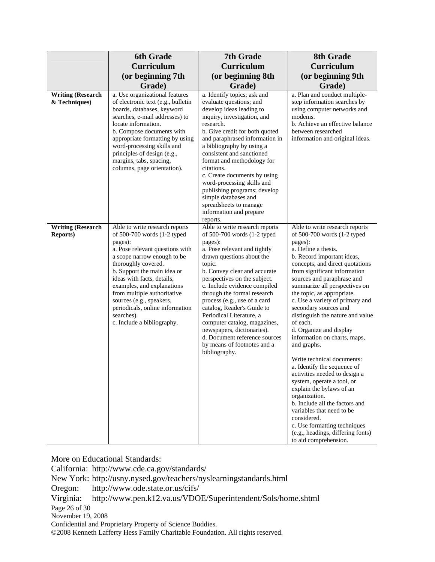|                                              | <b>6th Grade</b>                                                                                                                                                                                                                                                                                                                                                                                       | 7th Grade                                                                                                                                                                                                                                                                                                                                                                                                                                                                                                               | 8th Grade                                                                                                                                                                                                                                                                                                                                                                                                                                                                                                                                                                                                                                                                                                                                                                                                                                |
|----------------------------------------------|--------------------------------------------------------------------------------------------------------------------------------------------------------------------------------------------------------------------------------------------------------------------------------------------------------------------------------------------------------------------------------------------------------|-------------------------------------------------------------------------------------------------------------------------------------------------------------------------------------------------------------------------------------------------------------------------------------------------------------------------------------------------------------------------------------------------------------------------------------------------------------------------------------------------------------------------|------------------------------------------------------------------------------------------------------------------------------------------------------------------------------------------------------------------------------------------------------------------------------------------------------------------------------------------------------------------------------------------------------------------------------------------------------------------------------------------------------------------------------------------------------------------------------------------------------------------------------------------------------------------------------------------------------------------------------------------------------------------------------------------------------------------------------------------|
|                                              | <b>Curriculum</b>                                                                                                                                                                                                                                                                                                                                                                                      | <b>Curriculum</b>                                                                                                                                                                                                                                                                                                                                                                                                                                                                                                       | <b>Curriculum</b>                                                                                                                                                                                                                                                                                                                                                                                                                                                                                                                                                                                                                                                                                                                                                                                                                        |
|                                              | (or beginning 7th                                                                                                                                                                                                                                                                                                                                                                                      | (or beginning 8th                                                                                                                                                                                                                                                                                                                                                                                                                                                                                                       | (or beginning 9th                                                                                                                                                                                                                                                                                                                                                                                                                                                                                                                                                                                                                                                                                                                                                                                                                        |
|                                              | Grade)                                                                                                                                                                                                                                                                                                                                                                                                 | Grade)                                                                                                                                                                                                                                                                                                                                                                                                                                                                                                                  | Grade)                                                                                                                                                                                                                                                                                                                                                                                                                                                                                                                                                                                                                                                                                                                                                                                                                                   |
| <b>Writing (Research</b>                     | a. Use organizational features                                                                                                                                                                                                                                                                                                                                                                         | a. Identify topics; ask and                                                                                                                                                                                                                                                                                                                                                                                                                                                                                             | a. Plan and conduct multiple-                                                                                                                                                                                                                                                                                                                                                                                                                                                                                                                                                                                                                                                                                                                                                                                                            |
| & Techniques)                                | of electronic text (e.g., bulletin<br>boards, databases, keyword<br>searches, e-mail addresses) to<br>locate information.<br>b. Compose documents with<br>appropriate formatting by using<br>word-processing skills and<br>principles of design (e.g.,<br>margins, tabs, spacing,<br>columns, page orientation).                                                                                       | evaluate questions; and<br>develop ideas leading to<br>inquiry, investigation, and<br>research.<br>b. Give credit for both quoted<br>and paraphrased information in<br>a bibliography by using a<br>consistent and sanctioned<br>format and methodology for<br>citations.<br>c. Create documents by using<br>word-processing skills and<br>publishing programs; develop<br>simple databases and<br>spreadsheets to manage<br>information and prepare<br>reports.                                                        | step information searches by<br>using computer networks and<br>modems.<br>b. Achieve an effective balance<br>between researched<br>information and original ideas.                                                                                                                                                                                                                                                                                                                                                                                                                                                                                                                                                                                                                                                                       |
| <b>Writing (Research</b><br><b>Reports</b> ) | Able to write research reports<br>of 500-700 words (1-2 typed<br>pages):<br>a. Pose relevant questions with<br>a scope narrow enough to be<br>thoroughly covered.<br>b. Support the main idea or<br>ideas with facts, details,<br>examples, and explanations<br>from multiple authoritative<br>sources (e.g., speakers,<br>periodicals, online information<br>searches).<br>c. Include a bibliography. | Able to write research reports<br>of 500-700 words (1-2 typed<br>pages):<br>a. Pose relevant and tightly<br>drawn questions about the<br>topic.<br>b. Convey clear and accurate<br>perspectives on the subject.<br>c. Include evidence compiled<br>through the formal research<br>process (e.g., use of a card<br>catalog, Reader's Guide to<br>Periodical Literature, a<br>computer catalog, magazines,<br>newspapers, dictionaries).<br>d. Document reference sources<br>by means of footnotes and a<br>bibliography. | Able to write research reports<br>of 500-700 words (1-2 typed<br>pages):<br>a. Define a thesis.<br>b. Record important ideas,<br>concepts, and direct quotations<br>from significant information<br>sources and paraphrase and<br>summarize all perspectives on<br>the topic, as appropriate.<br>c. Use a variety of primary and<br>secondary sources and<br>distinguish the nature and value<br>of each.<br>d. Organize and display<br>information on charts, maps,<br>and graphs.<br>Write technical documents:<br>a. Identify the sequence of<br>activities needed to design a<br>system, operate a tool, or<br>explain the bylaws of an<br>organization.<br>b. Include all the factors and<br>variables that need to be<br>considered.<br>c. Use formatting techniques<br>(e.g., headings, differing fonts)<br>to aid comprehension. |

More on Educational Standards:

California: http://www.cde.ca.gov/standards/

New York: http://usny.nysed.gov/teachers/nyslearningstandards.html

Oregon: http://www.ode.state.or.us/cifs/

Virginia: http://www.pen.k12.va.us/VDOE/Superintendent/Sols/home.shtml

Page 26 of 30

November 19, 2008

Confidential and Proprietary Property of Science Buddies.

©2008 Kenneth Lafferty Hess Family Charitable Foundation. All rights reserved.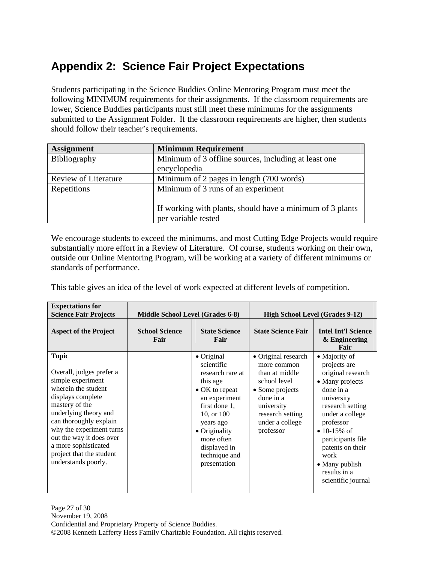# <span id="page-26-0"></span>**Appendix 2: Science Fair Project Expectations**

Students participating in the Science Buddies Online Mentoring Program must meet the following MINIMUM requirements for their assignments. If the classroom requirements are lower, Science Buddies participants must still meet these minimums for the assignments submitted to the Assignment Folder. If the classroom requirements are higher, then students should follow their teacher's requirements.

| <b>Assignment</b>           | <b>Minimum Requirement</b>                                |
|-----------------------------|-----------------------------------------------------------|
| Bibliography                | Minimum of 3 offline sources, including at least one      |
|                             | encyclopedia                                              |
| <b>Review of Literature</b> | Minimum of 2 pages in length (700 words)                  |
| Repetitions                 | Minimum of 3 runs of an experiment                        |
|                             |                                                           |
|                             | If working with plants, should have a minimum of 3 plants |
|                             | per variable tested                                       |

We encourage students to exceed the minimums, and most Cutting Edge Projects would require substantially more effort in a Review of Literature. Of course, students working on their own, outside our Online Mentoring Program, will be working at a variety of different minimums or standards of performance.

This table gives an idea of the level of work expected at different levels of competition.

| <b>Expectations for</b><br><b>Science Fair Projects</b>                                                                                                                                                                                                                                                           | <b>Middle School Level (Grades 6-8)</b> |                                                                                                                                                                                                                                 | <b>High School Level (Grades 9-12)</b>                                                                                                                                 |                                                                                                                                                                                                                                                                               |
|-------------------------------------------------------------------------------------------------------------------------------------------------------------------------------------------------------------------------------------------------------------------------------------------------------------------|-----------------------------------------|---------------------------------------------------------------------------------------------------------------------------------------------------------------------------------------------------------------------------------|------------------------------------------------------------------------------------------------------------------------------------------------------------------------|-------------------------------------------------------------------------------------------------------------------------------------------------------------------------------------------------------------------------------------------------------------------------------|
| <b>Aspect of the Project</b>                                                                                                                                                                                                                                                                                      | <b>School Science</b><br>Fair           | <b>State Science</b><br>Fair                                                                                                                                                                                                    | <b>State Science Fair</b>                                                                                                                                              | <b>Intel Int'l Science</b><br>& Engineering<br>Fair                                                                                                                                                                                                                           |
| <b>Topic</b><br>Overall, judges prefer a<br>simple experiment<br>wherein the student<br>displays complete<br>mastery of the<br>underlying theory and<br>can thoroughly explain<br>why the experiment turns<br>out the way it does over<br>a more sophisticated<br>project that the student<br>understands poorly. |                                         | $\bullet$ Original<br>scientific<br>research rare at<br>this age<br>• OK to repeat<br>an experiment<br>first done 1,<br>10, or 100<br>years ago<br>• Originality<br>more often<br>displayed in<br>technique and<br>presentation | • Original research<br>more common<br>than at middle<br>school level<br>• Some projects<br>done in a<br>university<br>research setting<br>under a college<br>professor | • Majority of<br>projects are<br>original research<br>• Many projects<br>done in a<br>university<br>research setting<br>under a college<br>professor<br>• 10-15\% of<br>participants file<br>patents on their<br>work<br>• Many publish<br>results in a<br>scientific journal |

Page 27 of 30 November 19, 2008 Confidential and Proprietary Property of Science Buddies. ©2008 Kenneth Lafferty Hess Family Charitable Foundation. All rights reserved.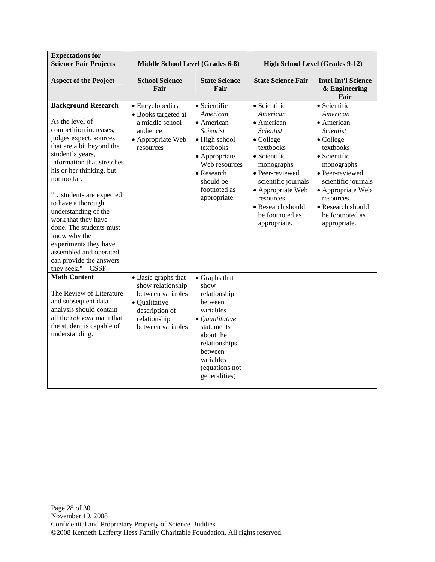| <b>Expectations for</b><br><b>Science Fair Projects</b>                                                                                                                                                                                                                                                                                                                                                                                                                    | Middle School Level (Grades 6-8)                                                                                                      |                                                                                                                                                                                                        | <b>High School Level (Grades 9-12)</b>                                                                                                                                                                                                                 |                                                                                                                                                                                                                                                                |
|----------------------------------------------------------------------------------------------------------------------------------------------------------------------------------------------------------------------------------------------------------------------------------------------------------------------------------------------------------------------------------------------------------------------------------------------------------------------------|---------------------------------------------------------------------------------------------------------------------------------------|--------------------------------------------------------------------------------------------------------------------------------------------------------------------------------------------------------|--------------------------------------------------------------------------------------------------------------------------------------------------------------------------------------------------------------------------------------------------------|----------------------------------------------------------------------------------------------------------------------------------------------------------------------------------------------------------------------------------------------------------------|
| <b>Aspect of the Project</b>                                                                                                                                                                                                                                                                                                                                                                                                                                               | <b>School Science</b><br>Fair                                                                                                         | <b>State Science</b><br>Fair                                                                                                                                                                           | <b>State Science Fair</b>                                                                                                                                                                                                                              | <b>Intel Int'l Science</b><br>& Engineering<br>Fair                                                                                                                                                                                                            |
| <b>Background Research</b><br>As the level of<br>competition increases,<br>judges expect, sources<br>that are a bit beyond the<br>student's years,<br>information that stretches<br>his or her thinking, but<br>not too far.<br>"students are expected<br>to have a thorough<br>understanding of the<br>work that they have<br>done. The students must<br>know why the<br>experiments they have<br>assembled and operated<br>can provide the answers<br>they seek." - CSSF | • Encyclopedias<br>• Books targeted at<br>a middle school<br>audience<br>• Appropriate Web<br>resources                               | · Scientific<br>American<br>• American<br><i>Scientist</i><br>• High school<br>textbooks<br>• Appropriate<br>Web resources<br>• Research<br>should be<br>footnoted as<br>appropriate.                  | · Scientific<br>American<br>• American<br><i>Scientist</i><br>• College<br>textbooks<br>• Scientific<br>monographs<br>· Peer-reviewed<br>scientific journals<br>• Appropriate Web<br>resources<br>• Research should<br>be footnoted as<br>appropriate. | · Scientific<br>American<br>• American<br><i>Scientist</i><br>$\bullet$ College<br>textbooks<br>• Scientific<br>monographs<br>· Peer-reviewed<br>scientific journals<br>• Appropriate Web<br>resources<br>• Research should<br>be footnoted as<br>appropriate. |
| <b>Math Content</b><br>The Review of Literature<br>and subsequent data<br>analysis should contain<br>all the relevant math that<br>the student is capable of<br>understanding.                                                                                                                                                                                                                                                                                             | • Basic graphs that<br>show relationship<br>between variables<br>• Qualitative<br>description of<br>relationship<br>between variables | $\bullet$ Graphs that<br>show<br>relationship<br>between<br>variables<br>$\bullet$ Quantitative<br>statements<br>about the<br>relationships<br>between<br>variables<br>(equations not<br>generalities) |                                                                                                                                                                                                                                                        |                                                                                                                                                                                                                                                                |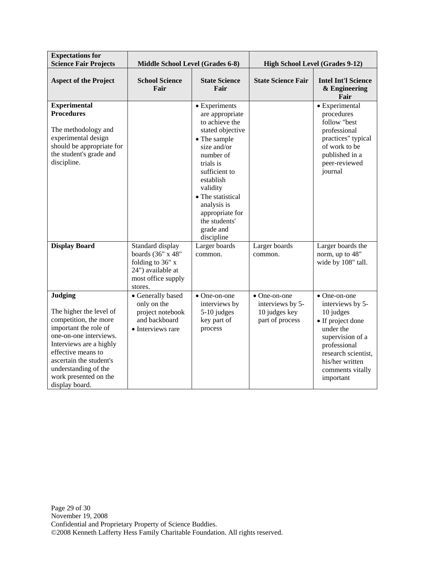| <b>Expectations for</b><br><b>Science Fair Projects</b>                                                                                                                                                                                                              | Middle School Level (Grades 6-8)                                                                      |                                                                                                                                                                                                                                                                                                          | <b>High School Level (Grades 9-12)</b>                                       |                                                                                                                                                                                                                 |
|----------------------------------------------------------------------------------------------------------------------------------------------------------------------------------------------------------------------------------------------------------------------|-------------------------------------------------------------------------------------------------------|----------------------------------------------------------------------------------------------------------------------------------------------------------------------------------------------------------------------------------------------------------------------------------------------------------|------------------------------------------------------------------------------|-----------------------------------------------------------------------------------------------------------------------------------------------------------------------------------------------------------------|
| <b>Aspect of the Project</b>                                                                                                                                                                                                                                         | <b>School Science</b><br>Fair                                                                         | <b>State Science</b><br>Fair                                                                                                                                                                                                                                                                             | <b>State Science Fair</b>                                                    | <b>Intel Int'l Science</b><br>& Engineering<br>Fair                                                                                                                                                             |
| <b>Experimental</b><br><b>Procedures</b><br>The methodology and<br>experimental design<br>should be appropriate for<br>the student's grade and<br>discipline.<br><b>Display Board</b>                                                                                | Standard display<br>boards (36" x 48"<br>folding to 36" x<br>24") available at<br>most office supply  | • Experiments<br>are appropriate<br>to achieve the<br>stated objective<br>• The sample<br>size and/or<br>number of<br>trials is<br>sufficient to<br>establish<br>validity<br>• The statistical<br>analysis is<br>appropriate for<br>the students'<br>grade and<br>discipline<br>Larger boards<br>common. | Larger boards<br>common.                                                     | • Experimental<br>procedures<br>follow "best<br>professional<br>practices" typical<br>of work to be<br>published in a<br>peer-reviewed<br>journal<br>Larger boards the<br>norm, up to 48"<br>wide by 108" tall. |
| <b>Judging</b><br>The higher the level of<br>competition, the more<br>important the role of<br>one-on-one interviews.<br>Interviews are a highly<br>effective means to<br>ascertain the student's<br>understanding of the<br>work presented on the<br>display board. | stores.<br>• Generally based<br>only on the<br>project notebook<br>and backboard<br>• Interviews rare | $\bullet$ One-on-one<br>interviews by<br>5-10 judges<br>key part of<br>process                                                                                                                                                                                                                           | $\bullet$ One-on-one<br>interviews by 5-<br>10 judges key<br>part of process | $\bullet$ One-on-one<br>interviews by 5-<br>10 judges<br>• If project done<br>under the<br>supervision of a<br>professional<br>research scientist.<br>his/her written<br>comments vitally<br>important          |